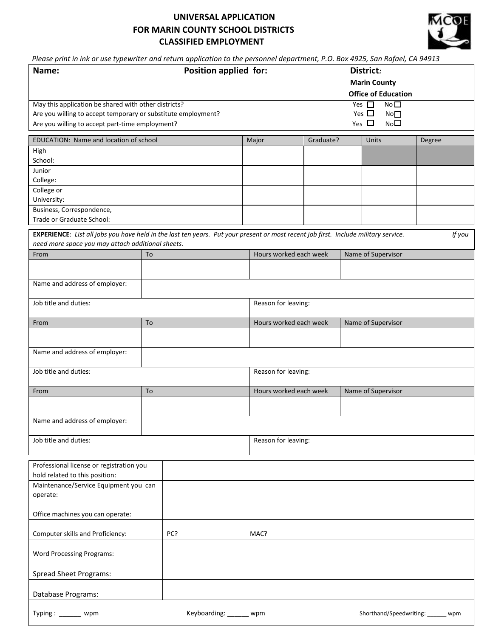## **UNIVERSAL APPLICATION FOR MARIN COUNTY SCHOOL DISTRICTS CLASSIFIED EMPLOYMENT**



*Please print in ink or use typewriter and return application to the personnel department, P.O. Box 4925, San Rafael, CA 94913* 

| Name:                                                                                                                                                                                              | Position applied for: |                        | District:<br><b>Marin County</b><br><b>Office of Education</b> |  |                                                                             |        |  |
|----------------------------------------------------------------------------------------------------------------------------------------------------------------------------------------------------|-----------------------|------------------------|----------------------------------------------------------------|--|-----------------------------------------------------------------------------|--------|--|
| May this application be shared with other districts?<br>Are you willing to accept temporary or substitute employment?<br>Are you willing to accept part-time employment?                           |                       |                        |                                                                |  | No<br>Yes $\square$<br>Yes $\Box$<br>No<br>No <sub>1</sub><br>Yes $\square$ |        |  |
| EDUCATION: Name and location of school                                                                                                                                                             |                       | Major                  | Graduate?                                                      |  | Units                                                                       | Degree |  |
| High                                                                                                                                                                                               |                       |                        |                                                                |  |                                                                             |        |  |
| School:<br>Junior                                                                                                                                                                                  |                       |                        |                                                                |  |                                                                             |        |  |
| College:                                                                                                                                                                                           |                       |                        |                                                                |  |                                                                             |        |  |
| College or                                                                                                                                                                                         |                       |                        |                                                                |  |                                                                             |        |  |
| University:                                                                                                                                                                                        |                       |                        |                                                                |  |                                                                             |        |  |
| Business, Correspondence,<br>Trade or Graduate School:                                                                                                                                             |                       |                        |                                                                |  |                                                                             |        |  |
| EXPERIENCE: List all jobs you have held in the last ten years. Put your present or most recent job first. Include military service.<br>If you<br>need more space you may attach additional sheets. |                       |                        |                                                                |  |                                                                             |        |  |
| From                                                                                                                                                                                               | To                    | Hours worked each week |                                                                |  | Name of Supervisor                                                          |        |  |
|                                                                                                                                                                                                    |                       |                        |                                                                |  |                                                                             |        |  |
| Name and address of employer:                                                                                                                                                                      |                       |                        |                                                                |  |                                                                             |        |  |
| Job title and duties:                                                                                                                                                                              |                       | Reason for leaving:    |                                                                |  |                                                                             |        |  |
| From                                                                                                                                                                                               | To                    | Hours worked each week |                                                                |  | Name of Supervisor                                                          |        |  |
|                                                                                                                                                                                                    |                       |                        |                                                                |  |                                                                             |        |  |
| Name and address of employer:                                                                                                                                                                      |                       |                        |                                                                |  |                                                                             |        |  |
| Job title and duties:                                                                                                                                                                              |                       | Reason for leaving:    |                                                                |  |                                                                             |        |  |
| From                                                                                                                                                                                               | To                    |                        | Hours worked each week                                         |  | Name of Supervisor                                                          |        |  |
|                                                                                                                                                                                                    |                       |                        |                                                                |  |                                                                             |        |  |
| Name and address of employer:                                                                                                                                                                      |                       |                        |                                                                |  |                                                                             |        |  |
| Job title and duties:                                                                                                                                                                              |                       | Reason for leaving:    |                                                                |  |                                                                             |        |  |
| Professional license or registration you<br>hold related to this position:                                                                                                                         |                       |                        |                                                                |  |                                                                             |        |  |
| Maintenance/Service Equipment you can<br>operate:                                                                                                                                                  |                       |                        |                                                                |  |                                                                             |        |  |
| Office machines you can operate:                                                                                                                                                                   |                       |                        |                                                                |  |                                                                             |        |  |
| Computer skills and Proficiency:                                                                                                                                                                   | PC?                   | MAC?                   |                                                                |  |                                                                             |        |  |
| <b>Word Processing Programs:</b>                                                                                                                                                                   |                       |                        |                                                                |  |                                                                             |        |  |
| <b>Spread Sheet Programs:</b>                                                                                                                                                                      |                       |                        |                                                                |  |                                                                             |        |  |
| Database Programs:                                                                                                                                                                                 |                       |                        |                                                                |  |                                                                             |        |  |
| Typing : $\_\_\_\_\_\_\_\_\_\$<br>wpm                                                                                                                                                              | Keyboarding:          | wpm                    |                                                                |  | Shorthand/Speedwriting:                                                     | wpm    |  |